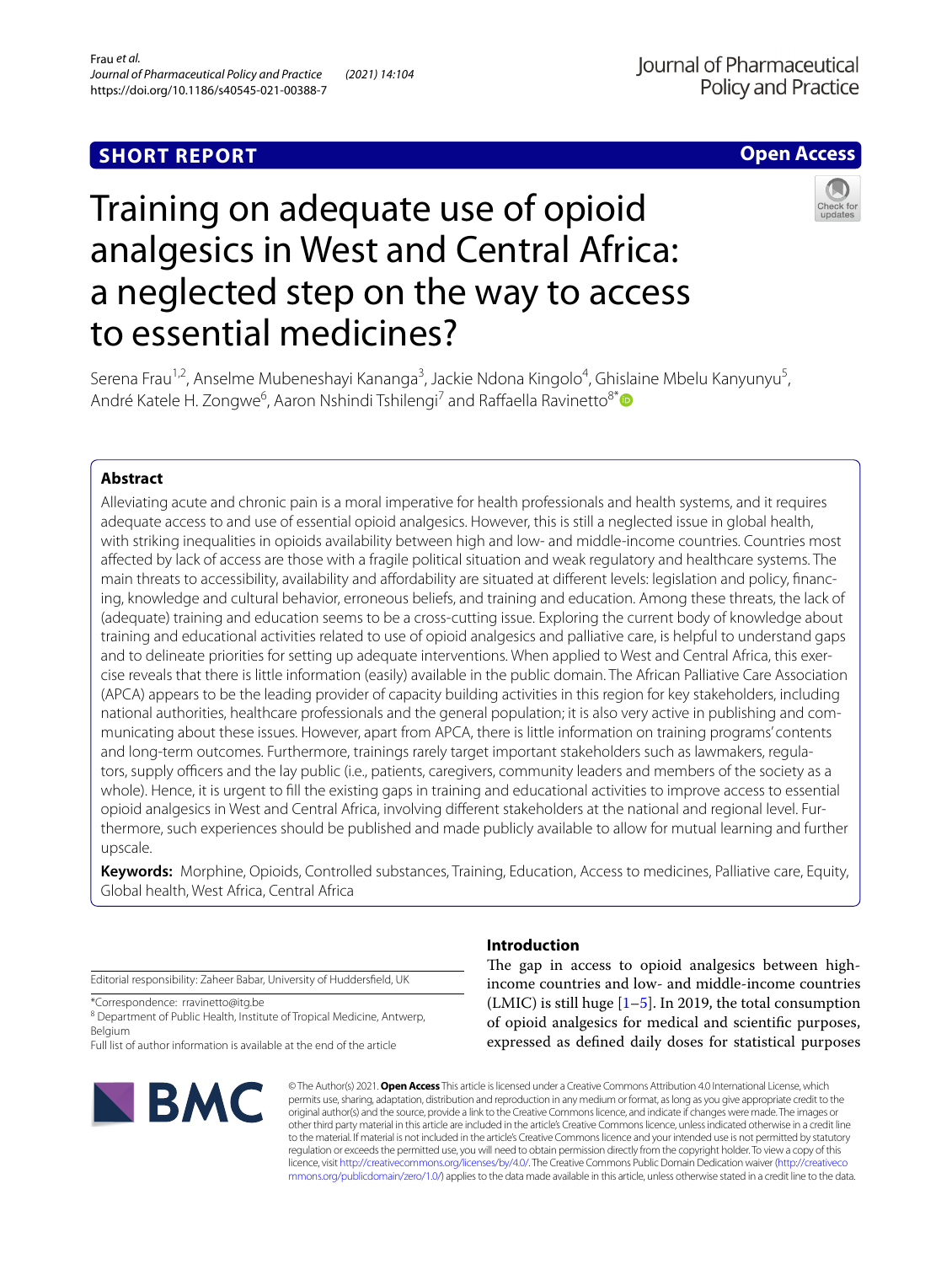## **SHORT REPORT**

## **Open Access**



# Training on adequate use of opioid analgesics in West and Central Africa: a neglected step on the way to access to essential medicines?

Serena Frau<sup>1,2</sup>, Anselme Mubeneshayi Kananga<sup>3</sup>, Jackie Ndona Kingolo<sup>4</sup>, Ghislaine Mbelu Kanyunyu<sup>5</sup>, André Katele H. Zongwe<sup>6</sup>, Aaron Nshindi Tshilengi<sup>7</sup> and Raffaella Ravinetto<sup>8[\\*](http://orcid.org/0000-0001-7765-2443)</sup>

## **Abstract**

Alleviating acute and chronic pain is a moral imperative for health professionals and health systems, and it requires adequate access to and use of essential opioid analgesics. However, this is still a neglected issue in global health, with striking inequalities in opioids availability between high and low- and middle-income countries. Countries most afected by lack of access are those with a fragile political situation and weak regulatory and healthcare systems. The main threats to accessibility, availability and afordability are situated at diferent levels: legislation and policy, fnancing, knowledge and cultural behavior, erroneous beliefs, and training and education. Among these threats, the lack of (adequate) training and education seems to be a cross-cutting issue. Exploring the current body of knowledge about training and educational activities related to use of opioid analgesics and palliative care, is helpful to understand gaps and to delineate priorities for setting up adequate interventions. When applied to West and Central Africa, this exercise reveals that there is little information (easily) available in the public domain. The African Palliative Care Association (APCA) appears to be the leading provider of capacity building activities in this region for key stakeholders, including national authorities, healthcare professionals and the general population; it is also very active in publishing and communicating about these issues. However, apart from APCA, there is little information on training programs' contents and long-term outcomes. Furthermore, trainings rarely target important stakeholders such as lawmakers, regulators, supply officers and the lay public (i.e., patients, caregivers, community leaders and members of the society as a whole). Hence, it is urgent to fll the existing gaps in training and educational activities to improve access to essential opioid analgesics in West and Central Africa, involving diferent stakeholders at the national and regional level. Furthermore, such experiences should be published and made publicly available to allow for mutual learning and further upscale.

**Keywords:** Morphine, Opioids, Controlled substances, Training, Education, Access to medicines, Palliative care, Equity, Global health, West Africa, Central Africa

Editorial responsibility: Zaheer Babar, University of Huddersfeld, UK

\*Correspondence: rravinetto@itg.be

<sup>8</sup> Department of Public Health, Institute of Tropical Medicine, Antwerp, Belgium

Full list of author information is available at the end of the article



### **Introduction**

The gap in access to opioid analgesics between highincome countries and low- and middle-income countries (LMIC) is still huge  $[1–5]$  $[1–5]$  $[1–5]$  $[1–5]$ . In 2019, the total consumption of opioid analgesics for medical and scientifc purposes, expressed as defned daily doses for statistical purposes

© The Author(s) 2021. **Open Access** This article is licensed under a Creative Commons Attribution 4.0 International License, which permits use, sharing, adaptation, distribution and reproduction in any medium or format, as long as you give appropriate credit to the original author(s) and the source, provide a link to the Creative Commons licence, and indicate if changes were made. The images or other third party material in this article are included in the article's Creative Commons licence, unless indicated otherwise in a credit line to the material. If material is not included in the article's Creative Commons licence and your intended use is not permitted by statutory regulation or exceeds the permitted use, you will need to obtain permission directly from the copyright holder. To view a copy of this licence, visit [http://creativecommons.org/licenses/by/4.0/.](http://creativecommons.org/licenses/by/4.0/) The Creative Commons Public Domain Dedication waiver ([http://creativeco](http://creativecommons.org/publicdomain/zero/1.0/) [mmons.org/publicdomain/zero/1.0/](http://creativecommons.org/publicdomain/zero/1.0/)) applies to the data made available in this article, unless otherwise stated in a credit line to the data.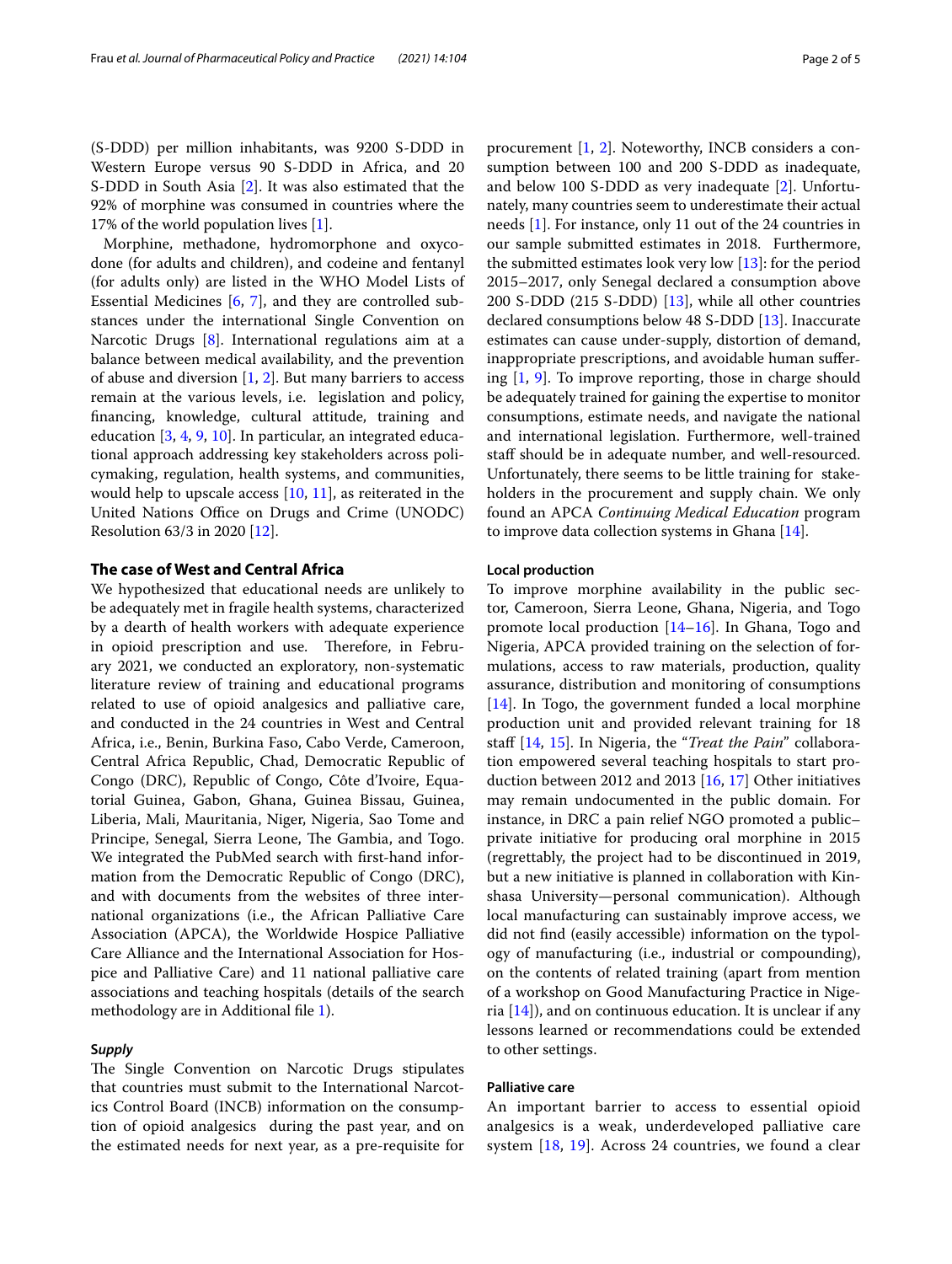Morphine, methadone, hydromorphone and oxycodone (for adults and children), and codeine and fentanyl (for adults only) are listed in the WHO Model Lists of Essential Medicines [[6,](#page-3-3) [7](#page-3-4)], and they are controlled substances under the international Single Convention on Narcotic Drugs [[8\]](#page-3-5). International regulations aim at a balance between medical availability, and the prevention of abuse and diversion  $[1, 2]$  $[1, 2]$  $[1, 2]$  $[1, 2]$ . But many barriers to access remain at the various levels, i.e. legislation and policy, fnancing, knowledge, cultural attitude, training and education [\[3,](#page-3-6) [4,](#page-3-7) [9,](#page-3-8) [10](#page-3-9)]. In particular, an integrated educational approach addressing key stakeholders across policymaking, regulation, health systems, and communities, would help to upscale access [\[10](#page-3-9), [11](#page-3-10)], as reiterated in the United Nations Office on Drugs and Crime (UNODC) Resolution 63/3 in 2020 [\[12](#page-3-11)].

#### **The case of West and Central Africa**

We hypothesized that educational needs are unlikely to be adequately met in fragile health systems, characterized by a dearth of health workers with adequate experience in opioid prescription and use. Therefore, in February 2021, we conducted an exploratory, non-systematic literature review of training and educational programs related to use of opioid analgesics and palliative care, and conducted in the 24 countries in West and Central Africa, i.e., Benin, Burkina Faso, Cabo Verde, Cameroon, Central Africa Republic, Chad, Democratic Republic of Congo (DRC), Republic of Congo, Côte d'Ivoire, Equatorial Guinea, Gabon, Ghana, Guinea Bissau, Guinea, Liberia, Mali, Mauritania, Niger, Nigeria, Sao Tome and Principe, Senegal, Sierra Leone, The Gambia, and Togo. We integrated the PubMed search with frst-hand information from the Democratic Republic of Congo (DRC), and with documents from the websites of three international organizations (i.e., the African Palliative Care Association (APCA), the Worldwide Hospice Palliative Care Alliance and the International Association for Hospice and Palliative Care) and 11 national palliative care associations and teaching hospitals (details of the search methodology are in Additional file [1\)](#page-3-12).

#### **S***upply*

The Single Convention on Narcotic Drugs stipulates that countries must submit to the International Narcotics Control Board (INCB) information on the consumption of opioid analgesics during the past year, and on the estimated needs for next year, as a pre-requisite for procurement [[1,](#page-3-0) [2](#page-3-2)]. Noteworthy, INCB considers a consumption between 100 and 200 S-DDD as inadequate, and below 100 S-DDD as very inadequate [\[2](#page-3-2)]. Unfortunately, many countries seem to underestimate their actual needs [\[1](#page-3-0)]. For instance, only 11 out of the 24 countries in our sample submitted estimates in 2018. Furthermore, the submitted estimates look very low [[13\]](#page-3-13): for the period 2015–2017, only Senegal declared a consumption above 200 S-DDD (215 S-DDD) [\[13](#page-3-13)], while all other countries declared consumptions below 48 S-DDD [[13\]](#page-3-13). Inaccurate estimates can cause under-supply, distortion of demand, inappropriate prescriptions, and avoidable human sufering [\[1,](#page-3-0) [9](#page-3-8)]. To improve reporting, those in charge should be adequately trained for gaining the expertise to monitor consumptions, estimate needs, and navigate the national and international legislation. Furthermore, well-trained staff should be in adequate number, and well-resourced. Unfortunately, there seems to be little training for stakeholders in the procurement and supply chain. We only found an APCA *Continuing Medical Education* program to improve data collection systems in Ghana [[14\]](#page-3-14).

#### **Local production**

To improve morphine availability in the public sector, Cameroon, Sierra Leone, Ghana, Nigeria, and Togo promote local production [\[14–](#page-3-14)[16\]](#page-3-15). In Ghana, Togo and Nigeria, APCA provided training on the selection of formulations, access to raw materials, production, quality assurance, distribution and monitoring of consumptions [[14\]](#page-3-14). In Togo, the government funded a local morphine production unit and provided relevant training for 18 staf [[14](#page-3-14), [15\]](#page-3-16). In Nigeria, the "*Treat the Pain*" collaboration empowered several teaching hospitals to start production between 2012 and 2013 [\[16](#page-3-15), [17\]](#page-3-17) Other initiatives may remain undocumented in the public domain. For instance, in DRC a pain relief NGO promoted a public– private initiative for producing oral morphine in 2015 (regrettably, the project had to be discontinued in 2019, but a new initiative is planned in collaboration with Kinshasa University—personal communication). Although local manufacturing can sustainably improve access, we did not fnd (easily accessible) information on the typology of manufacturing (i.e., industrial or compounding), on the contents of related training (apart from mention of a workshop on Good Manufacturing Practice in Nigeria  $[14]$  $[14]$ ), and on continuous education. It is unclear if any lessons learned or recommendations could be extended to other settings.

#### **Palliative care**

An important barrier to access to essential opioid analgesics is a weak, underdeveloped palliative care system [\[18,](#page-3-18) [19](#page-3-19)]. Across 24 countries, we found a clear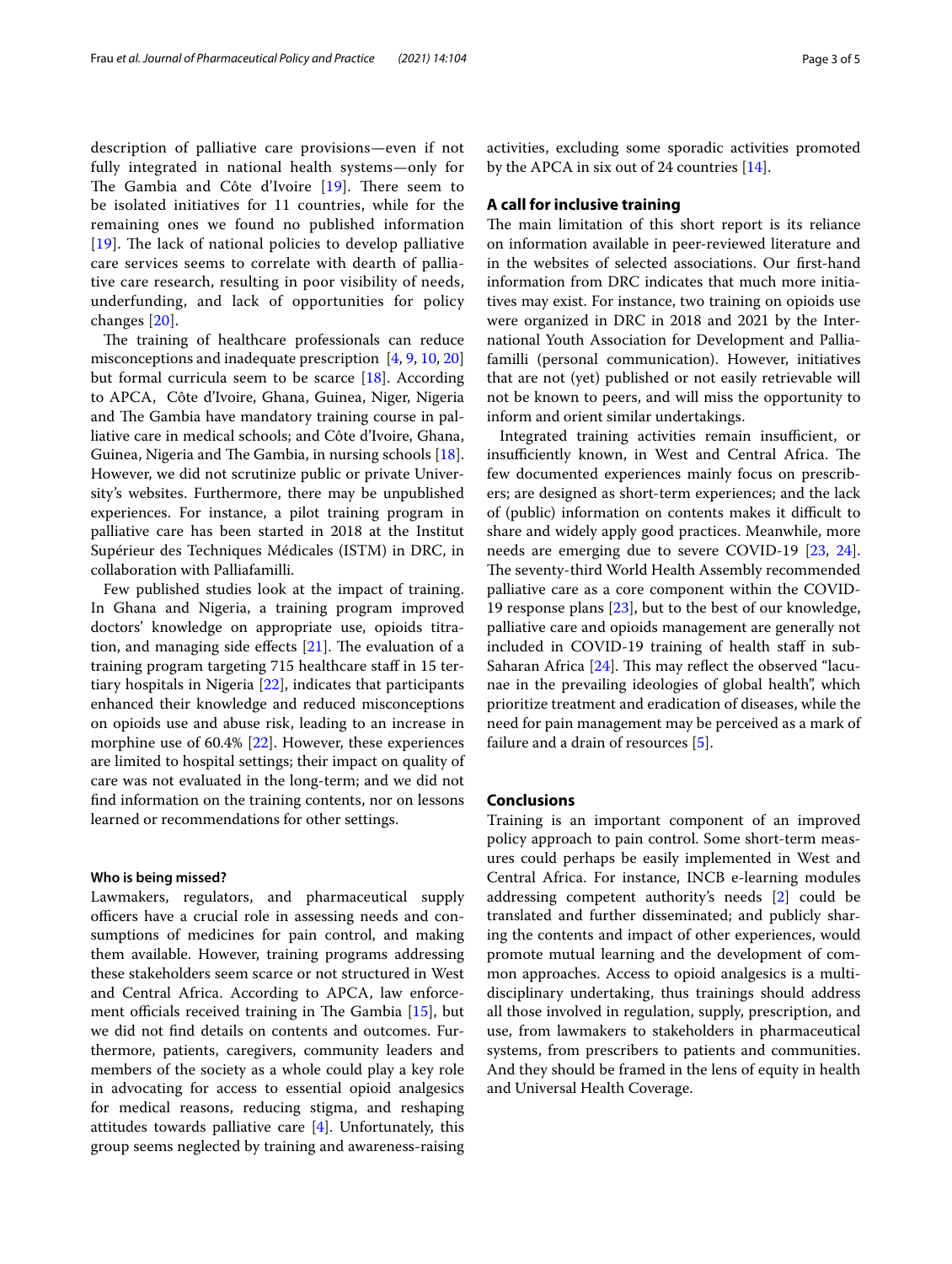description of palliative care provisions—even if not fully integrated in national health systems—only for The Gambia and Côte d'Ivoire  $[19]$  $[19]$  $[19]$ . There seem to be isolated initiatives for 11 countries, while for the remaining ones we found no published information  $[19]$  $[19]$  $[19]$ . The lack of national policies to develop palliative care services seems to correlate with dearth of palliative care research, resulting in poor visibility of needs, underfunding, and lack of opportunities for policy

changes [\[20](#page-3-20)]. The training of healthcare professionals can reduce misconceptions and inadequate prescription [[4,](#page-3-7) [9](#page-3-8), [10](#page-3-9), [20](#page-3-20)] but formal curricula seem to be scarce  $[18]$ . According to APCA, Côte d'Ivoire, Ghana, Guinea, Niger, Nigeria and The Gambia have mandatory training course in palliative care in medical schools; and Côte d'Ivoire, Ghana, Guinea, Nigeria and The Gambia, in nursing schools  $[18]$  $[18]$ . However, we did not scrutinize public or private University's websites. Furthermore, there may be unpublished experiences. For instance, a pilot training program in palliative care has been started in 2018 at the Institut Supérieur des Techniques Médicales (ISTM) in DRC, in collaboration with Palliafamilli.

Few published studies look at the impact of training. In Ghana and Nigeria, a training program improved doctors' knowledge on appropriate use, opioids titration, and managing side effects  $[21]$  $[21]$ . The evaluation of a training program targeting 715 healthcare staf in 15 tertiary hospitals in Nigeria [\[22\]](#page-4-1), indicates that participants enhanced their knowledge and reduced misconceptions on opioids use and abuse risk, leading to an increase in morphine use of 60.4% [\[22](#page-4-1)]. However, these experiences are limited to hospital settings; their impact on quality of care was not evaluated in the long-term; and we did not fnd information on the training contents, nor on lessons learned or recommendations for other settings.

#### **Who is being missed?**

Lawmakers, regulators, and pharmaceutical supply officers have a crucial role in assessing needs and consumptions of medicines for pain control, and making them available. However, training programs addressing these stakeholders seem scarce or not structured in West and Central Africa. According to APCA, law enforcement officials received training in The Gambia  $[15]$  $[15]$ , but we did not fnd details on contents and outcomes. Furthermore, patients, caregivers, community leaders and members of the society as a whole could play a key role in advocating for access to essential opioid analgesics for medical reasons, reducing stigma, and reshaping attitudes towards palliative care  $[4]$ . Unfortunately, this group seems neglected by training and awareness-raising activities, excluding some sporadic activities promoted by the APCA in six out of 24 countries [\[14](#page-3-14)].

#### **A call for inclusive training**

The main limitation of this short report is its reliance on information available in peer-reviewed literature and in the websites of selected associations. Our frst-hand information from DRC indicates that much more initiatives may exist. For instance, two training on opioids use were organized in DRC in 2018 and 2021 by the International Youth Association for Development and Palliafamilli (personal communication). However, initiatives that are not (yet) published or not easily retrievable will not be known to peers, and will miss the opportunity to inform and orient similar undertakings.

Integrated training activities remain insufficient, or insufficiently known, in West and Central Africa. The few documented experiences mainly focus on prescribers; are designed as short-term experiences; and the lack of (public) information on contents makes it difficult to share and widely apply good practices. Meanwhile, more needs are emerging due to severe COVID-19 [[23,](#page-4-2) [24](#page-4-3)]. The seventy-third World Health Assembly recommended palliative care as a core component within the COVID-19 response plans [[23\]](#page-4-2), but to the best of our knowledge, palliative care and opioids management are generally not included in COVID-19 training of health staff in sub-Saharan Africa  $[24]$  $[24]$ . This may reflect the observed "lacunae in the prevailing ideologies of global health", which prioritize treatment and eradication of diseases, while the need for pain management may be perceived as a mark of failure and a drain of resources [\[5](#page-3-1)].

#### **Conclusions**

Training is an important component of an improved policy approach to pain control. Some short-term measures could perhaps be easily implemented in West and Central Africa. For instance, INCB e-learning modules addressing competent authority's needs [\[2](#page-3-2)] could be translated and further disseminated; and publicly sharing the contents and impact of other experiences, would promote mutual learning and the development of common approaches. Access to opioid analgesics is a multidisciplinary undertaking, thus trainings should address all those involved in regulation, supply, prescription, and use, from lawmakers to stakeholders in pharmaceutical systems, from prescribers to patients and communities. And they should be framed in the lens of equity in health and Universal Health Coverage.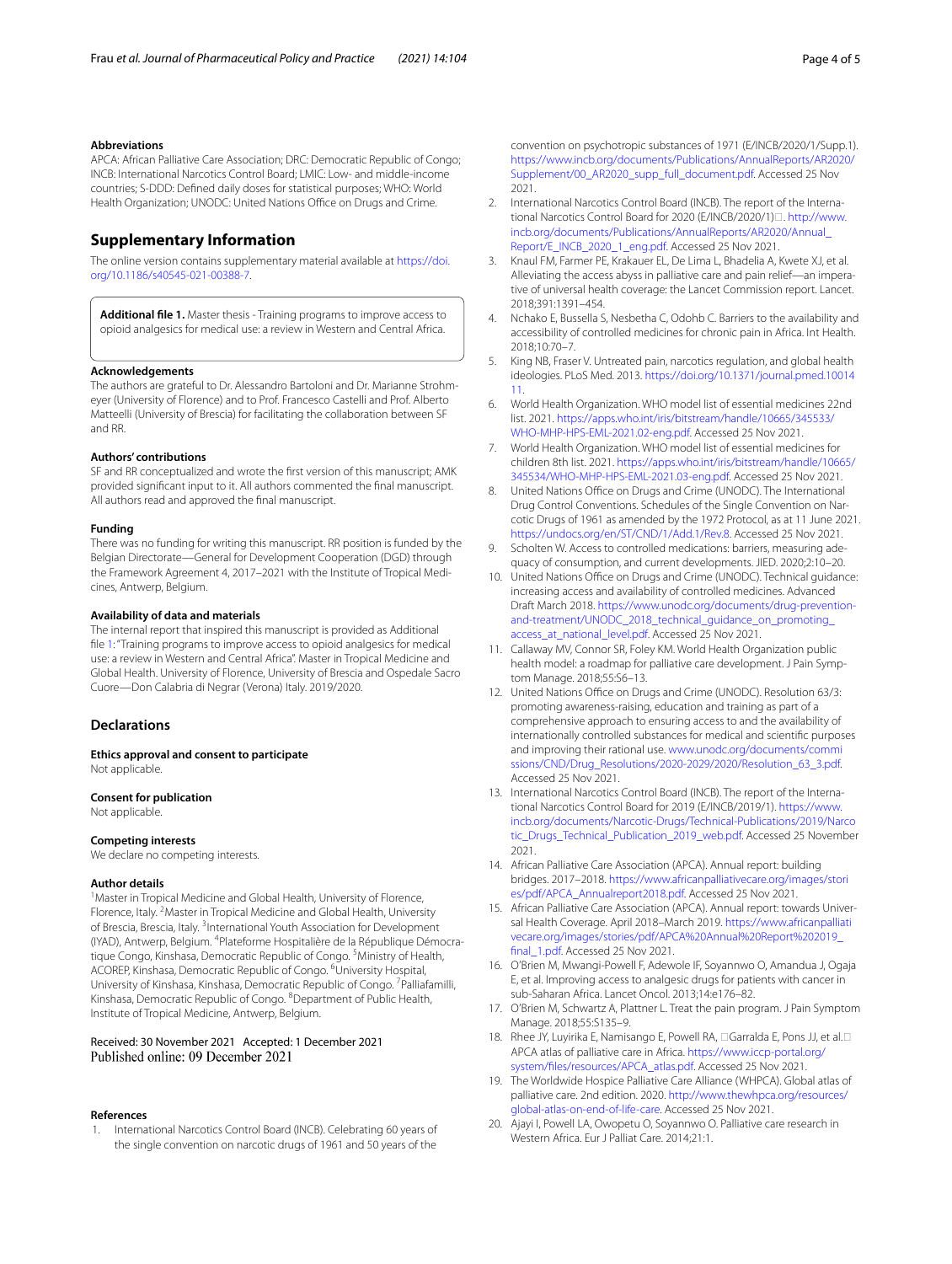#### **Abbreviations**

APCA: African Palliative Care Association; DRC: Democratic Republic of Congo; INCB: International Narcotics Control Board; LMIC: Low- and middle-income countries; S-DDD: Defned daily doses for statistical purposes; WHO: World Health Organization; UNODC: United Nations Office on Drugs and Crime.

#### **Supplementary Information**

The online version contains supplementary material available at [https://doi.](https://doi.org/10.1186/s40545-021-00388-7) [org/10.1186/s40545-021-00388-7](https://doi.org/10.1186/s40545-021-00388-7).

<span id="page-3-12"></span>**Additional fle 1.** Master thesis - Training programs to improve access to opioid analgesics for medical use: a review in Western and Central Africa.

#### **Acknowledgements**

The authors are grateful to Dr. Alessandro Bartoloni and Dr. Marianne Strohmeyer (University of Florence) and to Prof. Francesco Castelli and Prof. Alberto Matteelli (University of Brescia) for facilitating the collaboration between SF and RR.

#### **Authors' contributions**

SF and RR conceptualized and wrote the frst version of this manuscript; AMK provided signifcant input to it. All authors commented the fnal manuscript. All authors read and approved the fnal manuscript.

#### **Funding**

There was no funding for writing this manuscript. RR position is funded by the Belgian Directorate—General for Development Cooperation (DGD) through the Framework Agreement 4, 2017–2021 with the Institute of Tropical Medicines, Antwerp, Belgium.

#### **Availability of data and materials**

The internal report that inspired this manuscript is provided as Additional file [1:](#page-3-12) "Training programs to improve access to opioid analgesics for medical use: a review in Western and Central Africa". Master in Tropical Medicine and Global Health. University of Florence, University of Brescia and Ospedale Sacro Cuore—Don Calabria di Negrar (Verona) Italy. 2019/2020.

#### **Declarations**

**Ethics approval and consent to participate** Not applicable.

**Consent for publication** Not applicable.

#### **Competing interests**

We declare no competing interests.

#### **Author details**

<sup>1</sup> Master in Tropical Medicine and Global Health, University of Florence, Florence, Italy. <sup>2</sup> Master in Tropical Medicine and Global Health, University of Brescia, Brescia, Italy. <sup>3</sup>International Youth Association for Development (IYAD), Antwerp, Belgium. <sup>4</sup>Plateforme Hospitalière de la République Démocratique Congo, Kinshasa, Democratic Republic of Congo. <sup>5</sup> Ministry of Health, ACOREP, Kinshasa, Democratic Republic of Congo. <sup>6</sup>University Hospital, University of Kinshasa, Kinshasa, Democratic Republic of Congo. <sup>7</sup>Palliafamilli, Kinshasa, Democratic Republic of Congo. <sup>8</sup> Department of Public Health, Institute of Tropical Medicine, Antwerp, Belgium.

## Received: 30 November 2021 Accepted: 1 December 2021

#### **References**

<span id="page-3-0"></span>1. International Narcotics Control Board (INCB). Celebrating 60 years of the single convention on narcotic drugs of 1961 and 50 years of the

convention on psychotropic substances of 1971 (E/INCB/2020/1/Supp.1). [https://www.incb.org/documents/Publications/AnnualReports/AR2020/](https://www.incb.org/documents/Publications/AnnualReports/AR2020/Supplement/00_AR2020_supp_full_document.pdf) [Supplement/00\\_AR2020\\_supp\\_full\\_document.pdf.](https://www.incb.org/documents/Publications/AnnualReports/AR2020/Supplement/00_AR2020_supp_full_document.pdf) Accessed 25 Nov 2021.

- <span id="page-3-2"></span>2. International Narcotics Control Board (INCB). The report of the International Narcotics Control Board for 2020 (F/INCB/2020/1) $\Box$ . [http://www.](http://www.incb.org/documents/Publications/AnnualReports/AR2020/Annual_Report/E_INCB_2020_1_eng.pdf) [incb.org/documents/Publications/AnnualReports/AR2020/Annual\\_](http://www.incb.org/documents/Publications/AnnualReports/AR2020/Annual_Report/E_INCB_2020_1_eng.pdf) [Report/E\\_INCB\\_2020\\_1\\_eng.pdf.](http://www.incb.org/documents/Publications/AnnualReports/AR2020/Annual_Report/E_INCB_2020_1_eng.pdf) Accessed 25 Nov 2021.
- <span id="page-3-6"></span>3. Knaul FM, Farmer PE, Krakauer EL, De Lima L, Bhadelia A, Kwete XJ, et al. Alleviating the access abyss in palliative care and pain relief—an imperative of universal health coverage: the Lancet Commission report. Lancet. 2018;391:1391–454.
- <span id="page-3-7"></span>4. Nchako E, Bussella S, Nesbetha C, Odohb C. Barriers to the availability and accessibility of controlled medicines for chronic pain in Africa. Int Health. 2018;10:70–7.
- <span id="page-3-1"></span>5. King NB, Fraser V. Untreated pain, narcotics regulation, and global health ideologies. PLoS Med. 2013. [https://doi.org/10.1371/journal.pmed.10014](https://doi.org/10.1371/journal.pmed.1001411) [11](https://doi.org/10.1371/journal.pmed.1001411).
- <span id="page-3-3"></span>6. World Health Organization. WHO model list of essential medicines 22nd list. 2021. [https://apps.who.int/iris/bitstream/handle/10665/345533/](https://apps.who.int/iris/bitstream/handle/10665/345533/WHO-MHP-HPS-EML-2021.02-eng.pdf) [WHO-MHP-HPS-EML-2021.02-eng.pdf.](https://apps.who.int/iris/bitstream/handle/10665/345533/WHO-MHP-HPS-EML-2021.02-eng.pdf) Accessed 25 Nov 2021.
- <span id="page-3-4"></span>7. World Health Organization. WHO model list of essential medicines for children 8th list. 2021. [https://apps.who.int/iris/bitstream/handle/10665/](https://apps.who.int/iris/bitstream/handle/10665/345534/WHO-MHP-HPS-EML-2021.03-eng.pdf) [345534/WHO-MHP-HPS-EML-2021.03-eng.pdf](https://apps.who.int/iris/bitstream/handle/10665/345534/WHO-MHP-HPS-EML-2021.03-eng.pdf). Accessed 25 Nov 2021.
- <span id="page-3-5"></span>8. United Nations Office on Drugs and Crime (UNODC). The International Drug Control Conventions. Schedules of the Single Convention on Narcotic Drugs of 1961 as amended by the 1972 Protocol, as at 11 June 2021. <https://undocs.org/en/ST/CND/1/Add.1/Rev.8>. Accessed 25 Nov 2021.
- <span id="page-3-8"></span>9. Scholten W. Access to controlled medications: barriers, measuring adequacy of consumption, and current developments. JIED. 2020;2:10–20.
- <span id="page-3-9"></span>10. United Nations Office on Drugs and Crime (UNODC). Technical guidance: increasing access and availability of controlled medicines. Advanced Draft March 2018. [https://www.unodc.org/documents/drug-prevention](https://www.unodc.org/documents/drug-prevention-and-treatment/UNODC_2018_technical_guidance_on_promoting_access_at_national_level.pdf)and-treatment/UNODC\_2018\_technical\_quidance\_on\_promoting [access\\_at\\_national\\_level.pdf](https://www.unodc.org/documents/drug-prevention-and-treatment/UNODC_2018_technical_guidance_on_promoting_access_at_national_level.pdf). Accessed 25 Nov 2021.
- <span id="page-3-10"></span>11. Callaway MV, Connor SR, Foley KM. World Health Organization public health model: a roadmap for palliative care development. J Pain Symptom Manage. 2018;55:S6–13.
- <span id="page-3-11"></span>12. United Nations Office on Drugs and Crime (UNODC). Resolution 63/3: promoting awareness-raising, education and training as part of a comprehensive approach to ensuring access to and the availability of internationally controlled substances for medical and scientifc purposes and improving their rational use. [www.unodc.org/documents/commi](http://www.unodc.org/documents/commissions/CND/Drug_Resolutions/2020-2029/2020/Resolution_63_3.pdf) [ssions/CND/Drug\\_Resolutions/2020-2029/2020/Resolution\\_63\\_3.pdf.](http://www.unodc.org/documents/commissions/CND/Drug_Resolutions/2020-2029/2020/Resolution_63_3.pdf) Accessed 25 Nov 2021.
- <span id="page-3-13"></span>13. International Narcotics Control Board (INCB). The report of the International Narcotics Control Board for 2019 (E/INCB/2019/1). [https://www.](https://www.incb.org/documents/Narcotic-Drugs/Technical-Publications/2019/Narcotic_Drugs_Technical_Publication_2019_web.pdf) [incb.org/documents/Narcotic-Drugs/Technical-Publications/2019/Narco](https://www.incb.org/documents/Narcotic-Drugs/Technical-Publications/2019/Narcotic_Drugs_Technical_Publication_2019_web.pdf) [tic\\_Drugs\\_Technical\\_Publication\\_2019\\_web.pdf](https://www.incb.org/documents/Narcotic-Drugs/Technical-Publications/2019/Narcotic_Drugs_Technical_Publication_2019_web.pdf). Accessed 25 November 2021.
- <span id="page-3-14"></span>14. African Palliative Care Association (APCA). Annual report: building bridges. 2017–2018. [https://www.africanpalliativecare.org/images/stori](https://www.africanpalliativecare.org/images/stories/pdf/APCA_Annualreport2018.pdf) [es/pdf/APCA\\_Annualreport2018.pdf](https://www.africanpalliativecare.org/images/stories/pdf/APCA_Annualreport2018.pdf). Accessed 25 Nov 2021.
- <span id="page-3-16"></span>15. African Palliative Care Association (APCA). Annual report: towards Universal Health Coverage. April 2018–March 2019. [https://www.africanpalliati](https://www.africanpalliativecare.org/images/stories/pdf/APCA%20Annual%20Report%202019_final_1.pdf) [vecare.org/images/stories/pdf/APCA%20Annual%20Report%202019\\_](https://www.africanpalliativecare.org/images/stories/pdf/APCA%20Annual%20Report%202019_final_1.pdf) [fnal\\_1.pdf](https://www.africanpalliativecare.org/images/stories/pdf/APCA%20Annual%20Report%202019_final_1.pdf). Accessed 25 Nov 2021.
- <span id="page-3-15"></span>16. O'Brien M, Mwangi-Powell F, Adewole IF, Soyannwo O, Amandua J, Ogaja E, et al. Improving access to analgesic drugs for patients with cancer in sub-Saharan Africa. Lancet Oncol. 2013;14:e176–82.
- <span id="page-3-17"></span>17. O'Brien M, Schwartz A, Plattner L. Treat the pain program. J Pain Symptom Manage. 2018;55:S135–9.
- <span id="page-3-18"></span>18. Rhee JY, Luyirika E, Namisango E, Powell RA, **Garralda E, Pons JJ, et al.**D APCA atlas of palliative care in Africa. [https://www.iccp-portal.org/](https://www.iccp-portal.org/system/files/resources/APCA_atlas.pdf) [system/fles/resources/APCA\\_atlas.pdf.](https://www.iccp-portal.org/system/files/resources/APCA_atlas.pdf) Accessed 25 Nov 2021.
- <span id="page-3-19"></span>19. The Worldwide Hospice Palliative Care Alliance (WHPCA). Global atlas of palliative care. 2nd edition. 2020. [http://www.thewhpca.org/resources/](http://www.thewhpca.org/resources/global-atlas-on-end-of-life-care) [global-atlas-on-end-of-life-care](http://www.thewhpca.org/resources/global-atlas-on-end-of-life-care). Accessed 25 Nov 2021.
- <span id="page-3-20"></span>20. Ajayi I, Powell LA, Owopetu O, Soyannwo O. Palliative care research in Western Africa. Eur J Palliat Care. 2014;21:1.